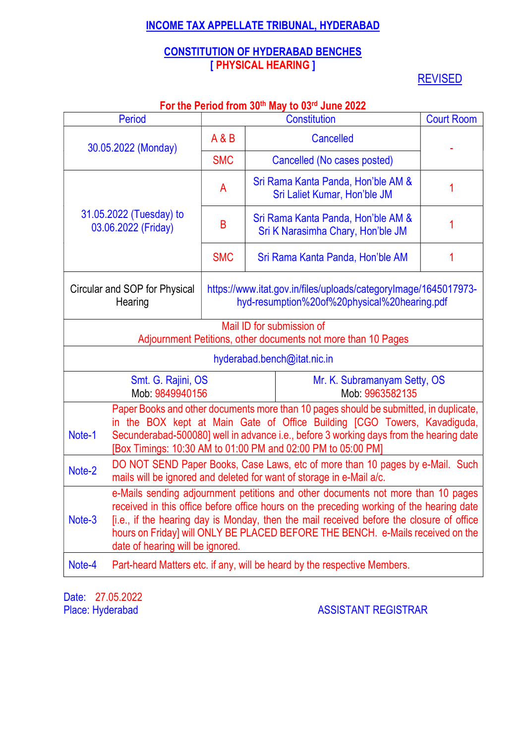# INCOME TAX APPELLATE TRIBUNAL, HYDERABAD

# CONSTITUTION OF HYDERABAD BENCHES [ PHYSICAL HEARING ]

**REVISED** 

|                                                                                                                                                                                                                                                                                                                                                                                                          | <b>Period</b>                                  |            |  | <b>TUT LITE FUNDATION IN JUM MAY TO US TO DITE ZUZZ</b><br>Constitution                                                                                                                                                                                                                                                     | <b>Court Room</b> |
|----------------------------------------------------------------------------------------------------------------------------------------------------------------------------------------------------------------------------------------------------------------------------------------------------------------------------------------------------------------------------------------------------------|------------------------------------------------|------------|--|-----------------------------------------------------------------------------------------------------------------------------------------------------------------------------------------------------------------------------------------------------------------------------------------------------------------------------|-------------------|
|                                                                                                                                                                                                                                                                                                                                                                                                          |                                                | A & B      |  | Cancelled                                                                                                                                                                                                                                                                                                                   |                   |
|                                                                                                                                                                                                                                                                                                                                                                                                          | 30.05.2022 (Monday)                            |            |  |                                                                                                                                                                                                                                                                                                                             |                   |
|                                                                                                                                                                                                                                                                                                                                                                                                          |                                                | <b>SMC</b> |  | Cancelled (No cases posted)                                                                                                                                                                                                                                                                                                 |                   |
|                                                                                                                                                                                                                                                                                                                                                                                                          |                                                | A          |  | Sri Rama Kanta Panda, Hon'ble AM &<br>Sri Laliet Kumar, Hon'ble JM                                                                                                                                                                                                                                                          | 1                 |
|                                                                                                                                                                                                                                                                                                                                                                                                          | 31.05.2022 (Tuesday) to<br>03.06.2022 (Friday) | B          |  | Sri Rama Kanta Panda, Hon'ble AM &<br>Sri K Narasimha Chary, Hon'ble JM                                                                                                                                                                                                                                                     |                   |
|                                                                                                                                                                                                                                                                                                                                                                                                          |                                                | <b>SMC</b> |  | Sri Rama Kanta Panda, Hon'ble AM                                                                                                                                                                                                                                                                                            |                   |
|                                                                                                                                                                                                                                                                                                                                                                                                          | Circular and SOP for Physical<br>Hearing       |            |  | https://www.itat.gov.in/files/uploads/categoryImage/1645017973-<br>hyd-resumption%20of%20physical%20hearing.pdf                                                                                                                                                                                                             |                   |
|                                                                                                                                                                                                                                                                                                                                                                                                          |                                                |            |  | Mail ID for submission of<br>Adjournment Petitions, other documents not more than 10 Pages                                                                                                                                                                                                                                  |                   |
|                                                                                                                                                                                                                                                                                                                                                                                                          |                                                |            |  | hyderabad.bench@itat.nic.in                                                                                                                                                                                                                                                                                                 |                   |
|                                                                                                                                                                                                                                                                                                                                                                                                          | Smt. G. Rajini, OS<br>Mob: 9849940156          |            |  | Mr. K. Subramanyam Setty, OS<br>Mob: 9963582135                                                                                                                                                                                                                                                                             |                   |
| Note-1                                                                                                                                                                                                                                                                                                                                                                                                   |                                                |            |  | Paper Books and other documents more than 10 pages should be submitted, in duplicate,<br>in the BOX kept at Main Gate of Office Building [CGO Towers, Kavadiguda,<br>Secunderabad-500080] well in advance i.e., before 3 working days from the hearing date<br>[Box Timings: 10:30 AM to 01:00 PM and 02:00 PM to 05:00 PM] |                   |
| Note-2                                                                                                                                                                                                                                                                                                                                                                                                   |                                                |            |  | DO NOT SEND Paper Books, Case Laws, etc of more than 10 pages by e-Mail. Such<br>mails will be ignored and deleted for want of storage in e-Mail a/c.                                                                                                                                                                       |                   |
| e-Mails sending adjournment petitions and other documents not more than 10 pages<br>received in this office before office hours on the preceding working of the hearing date<br>[i.e., if the hearing day is Monday, then the mail received before the closure of office<br>Note-3<br>hours on Friday] will ONLY BE PLACED BEFORE THE BENCH. e-Mails received on the<br>date of hearing will be ignored. |                                                |            |  |                                                                                                                                                                                                                                                                                                                             |                   |
| Note-4                                                                                                                                                                                                                                                                                                                                                                                                   |                                                |            |  | Part-heard Matters etc. if any, will be heard by the respective Members.                                                                                                                                                                                                                                                    |                   |

## For the Period from 30th May to 03rd June 2022

Date: 27.05.2022<br>Place: Hyderabad

**ASSISTANT REGISTRAR**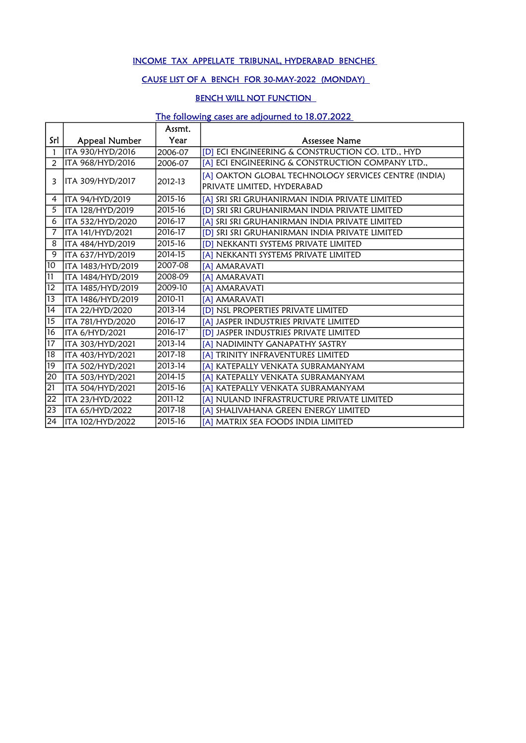### INCOME TAX APPELLATE TRIBUNAL, HYDERABAD BENCHES

## CAUSE LIST OF A BENCH FOR 30-MAY-2022 (MONDAY)

## BENCH WILL NOT FUNCTION

## The following cases are adjourned to 18.07.2022

|                 |                   | Assmt.      |                                                                                    |
|-----------------|-------------------|-------------|------------------------------------------------------------------------------------|
| Srl             | Appeal Number     | Year        | Assessee Name                                                                      |
| 1               | ITA 930/HYD/2016  | 2006-07     | [D] ECI ENGINEERING & CONSTRUCTION CO. LTD., HYD                                   |
| 2               | ITA 968/HYD/2016  | 2006-07     | [A] ECI ENGINEERING & CONSTRUCTION COMPANY LTD.,                                   |
| 3               | ITA 309/HYD/2017  | 2012-13     | [A] OAKTON GLOBAL TECHNOLOGY SERVICES CENTRE (INDIA)<br>PRIVATE LIMITED, HYDERABAD |
| 4               | ITA 94/HYD/2019   | 2015-16     | [A] SRI SRI GRUHANIRMAN INDIA PRIVATE LIMITED                                      |
| 5               | ITA 128/HYD/2019  | 2015-16     | [D] SRI SRI GRUHANIRMAN INDIA PRIVATE LIMITED                                      |
| 6               | ITA 532/HYD/2020  | 2016-17     | [A] SRI SRI GRUHANIRMAN INDIA PRIVATE LIMITED                                      |
| $\overline{7}$  | ITA 141/HYD/2021  | 2016-17     | [D] SRI SRI GRUHANIRMAN INDIA PRIVATE LIMITED                                      |
| 8               | ITA 484/HYD/2019  | 2015-16     | [D] NEKKANTI SYSTEMS PRIVATE LIMITED                                               |
| 9               | ITA 637/HYD/2019  | 2014-15     | [A] NEKKANTI SYSTEMS PRIVATE LIMITED                                               |
| $\overline{10}$ | ITA 1483/HYD/2019 | 2007-08     | [A] AMARAVATI                                                                      |
| $\overline{11}$ | ITA 1484/HYD/2019 | 2008-09     | [A] AMARAVATI                                                                      |
| $\overline{12}$ | ITA 1485/HYD/2019 | 2009-10     | [A] AMARAVATI                                                                      |
| $\overline{13}$ | ITA 1486/HYD/2019 | 2010-11     | [A] AMARAVATI                                                                      |
| $\overline{14}$ | ITA 22/HYD/2020   | $2013 - 14$ | [D] NSL PROPERTIES PRIVATE LIMITED                                                 |
| $\overline{15}$ | ITA 781/HYD/2020  | 2016-17     | [A] JASPER INDUSTRIES PRIVATE LIMITED                                              |
| $\overline{16}$ | ITA 6/HYD/2021    | 2016-17     | [D] JASPER INDUSTRIES PRIVATE LIMITED                                              |
| $\overline{17}$ | ITA 303/HYD/2021  | 2013-14     | [A] NADIMINTY GANAPATHY SASTRY                                                     |
| $\overline{18}$ | ITA 403/HYD/2021  | 2017-18     | [A] TRINITY INFRAVENTURES LIMITED                                                  |
| 19              | ITA 502/HYD/2021  | 2013-14     | [A] KATEPALLY VENKATA SUBRAMANYAM                                                  |
| $ 20\rangle$    | ITA 503/HYD/2021  | 2014-15     | [A] KATEPALLY VENKATA SUBRAMANYAM                                                  |
| 21              | ITA 504/HYD/2021  | 2015-16     | [A] KATEPALLY VENKATA SUBRAMANYAM                                                  |
| $\overline{22}$ | ITA 23/HYD/2022   | 2011-12     | [A] NULAND INFRASTRUCTURE PRIVATE LIMITED                                          |
| $ 23\rangle$    | ITA 65/HYD/2022   | 2017-18     | [A] SHALIVAHANA GREEN ENERGY LIMITED                                               |
| $ 24\rangle$    | ITA 102/HYD/2022  | 2015-16     | [A] MATRIX SEA FOODS INDIA LIMITED                                                 |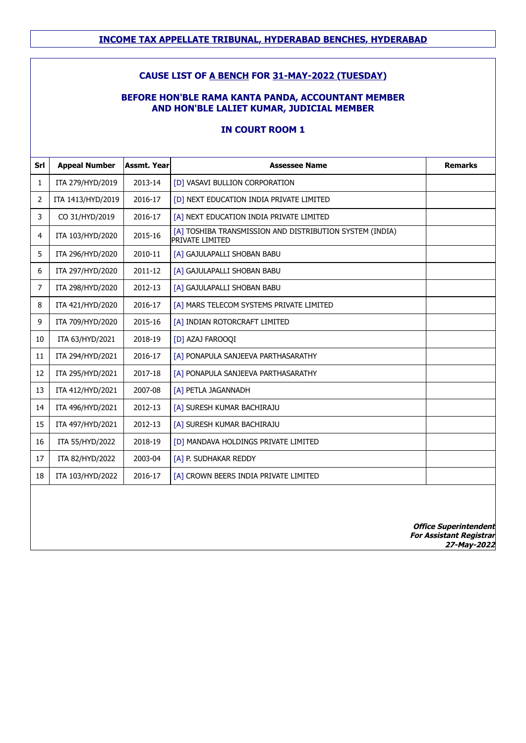### **CAUSE LIST OF A BENCH FOR 31-MAY-2022 (TUESDAY)**

## **BEFORE HON'BLE RAMA KANTA PANDA, ACCOUNTANT MEMBER AND HON'BLE LALIET KUMAR, JUDICIAL MEMBER**

## **IN COURT ROOM 1**

| Srl            | <b>Appeal Number</b> | Assmt. Year | <b>Assessee Name</b>                                                               | <b>Remarks</b> |
|----------------|----------------------|-------------|------------------------------------------------------------------------------------|----------------|
| $\mathbf{1}$   | ITA 279/HYD/2019     | 2013-14     | [D] VASAVI BULLION CORPORATION                                                     |                |
| 2              | ITA 1413/HYD/2019    | 2016-17     | [D] NEXT EDUCATION INDIA PRIVATE LIMITED                                           |                |
| 3              | CO 31/HYD/2019       | 2016-17     | TA1 NEXT EDUCATION INDIA PRIVATE LIMITED                                           |                |
| 4              | ITA 103/HYD/2020     | 2015-16     | [A] TOSHIBA TRANSMISSION AND DISTRIBUTION SYSTEM (INDIA)<br><b>PRIVATE LIMITED</b> |                |
| 5              | ITA 296/HYD/2020     | 2010-11     | [A] GAJULAPALLI SHOBAN BABU                                                        |                |
| 6              | ITA 297/HYD/2020     | 2011-12     | [A] GAJULAPALLI SHOBAN BABU                                                        |                |
| $\overline{7}$ | ITA 298/HYD/2020     | 2012-13     | [A] GAJULAPALLI SHOBAN BABU                                                        |                |
| 8              | ITA 421/HYD/2020     | 2016-17     | [A] MARS TELECOM SYSTEMS PRIVATE LIMITED                                           |                |
| 9              | ITA 709/HYD/2020     | 2015-16     | [A] INDIAN ROTORCRAFT LIMITED                                                      |                |
| 10             | ITA 63/HYD/2021      | 2018-19     | [D] AZAJ FAROOQI                                                                   |                |
| 11             | ITA 294/HYD/2021     | 2016-17     | [A] PONAPULA SANJEEVA PARTHASARATHY                                                |                |
| 12             | ITA 295/HYD/2021     | 2017-18     | [A] PONAPULA SANJEEVA PARTHASARATHY                                                |                |
| 13             | ITA 412/HYD/2021     | 2007-08     | [A] PETLA JAGANNADH                                                                |                |
| 14             | ITA 496/HYD/2021     | 2012-13     | [A] SURESH KUMAR BACHIRAJU                                                         |                |
| 15             | ITA 497/HYD/2021     | 2012-13     | [A] SURESH KUMAR BACHIRAJU                                                         |                |
| 16             | ITA 55/HYD/2022      | 2018-19     | [D] MANDAVA HOLDINGS PRIVATE LIMITED                                               |                |
| 17             | ITA 82/HYD/2022      | 2003-04     | [A] P. SUDHAKAR REDDY                                                              |                |
| 18             | ITA 103/HYD/2022     | 2016-17     | [A] CROWN BEERS INDIA PRIVATE LIMITED                                              |                |
|                |                      |             |                                                                                    |                |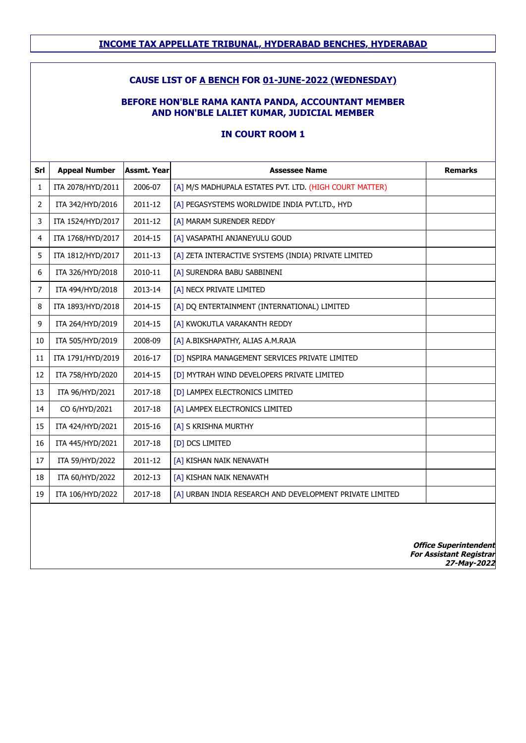## **CAUSE LIST OF A BENCH FOR 01-JUNE-2022 (WEDNESDAY)**

#### **BEFORE HON'BLE RAMA KANTA PANDA, ACCOUNTANT MEMBER AND HON'BLE LALIET KUMAR, JUDICIAL MEMBER**

### **IN COURT ROOM 1**

| Srl            | <b>Appeal Number</b> | <b>Assmt. Year</b> | <b>Assessee Name</b>                                     | <b>Remarks</b> |
|----------------|----------------------|--------------------|----------------------------------------------------------|----------------|
| 1              | ITA 2078/HYD/2011    | 2006-07            | [A] M/S MADHUPALA ESTATES PVT. LTD. (HIGH COURT MATTER)  |                |
| $\overline{2}$ | ITA 342/HYD/2016     | 2011-12            | [A] PEGASYSTEMS WORLDWIDE INDIA PVT.LTD., HYD            |                |
| 3              | ITA 1524/HYD/2017    | 2011-12            | [A] MARAM SURENDER REDDY                                 |                |
| 4              | ITA 1768/HYD/2017    | 2014-15            | [A] VASAPATHI ANJANEYULU GOUD                            |                |
| 5              | ITA 1812/HYD/2017    | 2011-13            | [A] ZETA INTERACTIVE SYSTEMS (INDIA) PRIVATE LIMITED     |                |
| 6              | ITA 326/HYD/2018     | 2010-11            | [A] SURENDRA BABU SABBINENI                              |                |
| 7              | ITA 494/HYD/2018     | 2013-14            | [A] NECX PRIVATE LIMITED                                 |                |
| 8              | ITA 1893/HYD/2018    | 2014-15            | [A] DQ ENTERTAINMENT (INTERNATIONAL) LIMITED             |                |
| 9              | ITA 264/HYD/2019     | 2014-15            | [A] KWOKUTLA VARAKANTH REDDY                             |                |
| 10             | ITA 505/HYD/2019     | 2008-09            | [A] A.BIKSHAPATHY, ALIAS A.M.RAJA                        |                |
| 11             | ITA 1791/HYD/2019    | 2016-17            | [D] NSPIRA MANAGEMENT SERVICES PRIVATE LIMITED           |                |
| 12             | ITA 758/HYD/2020     | 2014-15            | [D] MYTRAH WIND DEVELOPERS PRIVATE LIMITED               |                |
| 13             | ITA 96/HYD/2021      | 2017-18            | [D] LAMPEX ELECTRONICS LIMITED                           |                |
| 14             | CO 6/HYD/2021        | 2017-18            | [A] LAMPEX ELECTRONICS LIMITED                           |                |
| 15             | ITA 424/HYD/2021     | 2015-16            | [A] S KRISHNA MURTHY                                     |                |
| 16             | ITA 445/HYD/2021     | 2017-18            | [D] DCS LIMITED                                          |                |
| 17             | ITA 59/HYD/2022      | 2011-12            | [A] KISHAN NAIK NENAVATH                                 |                |
| 18             | ITA 60/HYD/2022      | 2012-13            | [A] KISHAN NAIK NENAVATH                                 |                |
| 19             | ITA 106/HYD/2022     | 2017-18            | [A] URBAN INDIA RESEARCH AND DEVELOPMENT PRIVATE LIMITED |                |
|                |                      |                    |                                                          |                |
|                |                      |                    |                                                          |                |
|                |                      |                    |                                                          |                |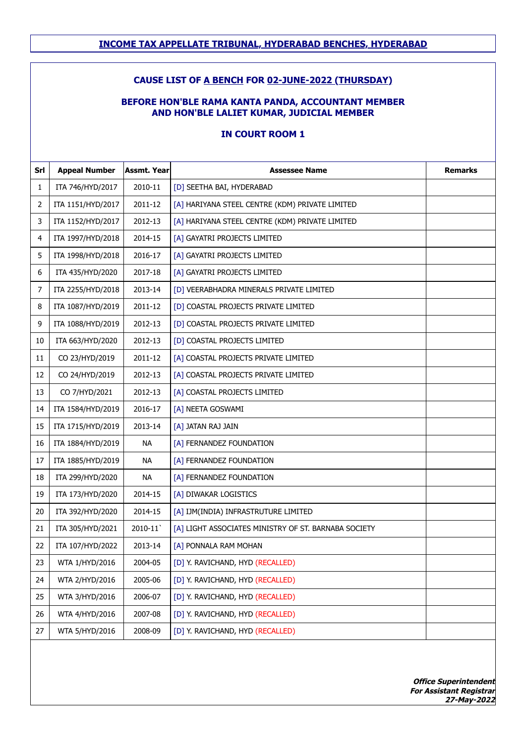## **CAUSE LIST OF A BENCH FOR 02-JUNE-2022 (THURSDAY)**

#### **BEFORE HON'BLE RAMA KANTA PANDA, ACCOUNTANT MEMBER AND HON'BLE LALIET KUMAR, JUDICIAL MEMBER**

## **IN COURT ROOM 1**

| Srl | <b>Appeal Number</b> | <b>Assmt. Year</b> | <b>Assessee Name</b>                                 | <b>Remarks</b> |
|-----|----------------------|--------------------|------------------------------------------------------|----------------|
| 1   | ITA 746/HYD/2017     | 2010-11            | [D] SEETHA BAI, HYDERABAD                            |                |
| 2   | ITA 1151/HYD/2017    | 2011-12            | [A] HARIYANA STEEL CENTRE (KDM) PRIVATE LIMITED      |                |
| 3   | ITA 1152/HYD/2017    | 2012-13            | [A] HARIYANA STEEL CENTRE (KDM) PRIVATE LIMITED      |                |
| 4   | ITA 1997/HYD/2018    | 2014-15            | [A] GAYATRI PROJECTS LIMITED                         |                |
| 5   | ITA 1998/HYD/2018    | 2016-17            | [A] GAYATRI PROJECTS LIMITED                         |                |
| 6   | ITA 435/HYD/2020     | 2017-18            | [A] GAYATRI PROJECTS LIMITED                         |                |
| 7   | ITA 2255/HYD/2018    | 2013-14            | [D] VEERABHADRA MINERALS PRIVATE LIMITED             |                |
| 8   | ITA 1087/HYD/2019    | 2011-12            | [D] COASTAL PROJECTS PRIVATE LIMITED                 |                |
| 9   | ITA 1088/HYD/2019    | 2012-13            | [D] COASTAL PROJECTS PRIVATE LIMITED                 |                |
| 10  | ITA 663/HYD/2020     | 2012-13            | [D] COASTAL PROJECTS LIMITED                         |                |
| 11  | CO 23/HYD/2019       | 2011-12            | [A] COASTAL PROJECTS PRIVATE LIMITED                 |                |
| 12  | CO 24/HYD/2019       | 2012-13            | [A] COASTAL PROJECTS PRIVATE LIMITED                 |                |
| 13  | CO 7/HYD/2021        | 2012-13            | [A] COASTAL PROJECTS LIMITED                         |                |
| 14  | ITA 1584/HYD/2019    | 2016-17            | [A] NEETA GOSWAMI                                    |                |
| 15  | ITA 1715/HYD/2019    | 2013-14            | [A] JATAN RAJ JAIN                                   |                |
| 16  | ITA 1884/HYD/2019    | <b>NA</b>          | [A] FERNANDEZ FOUNDATION                             |                |
| 17  | ITA 1885/HYD/2019    | <b>NA</b>          | [A] FERNANDEZ FOUNDATION                             |                |
| 18  | ITA 299/HYD/2020     | NA                 | [A] FERNANDEZ FOUNDATION                             |                |
| 19  | ITA 173/HYD/2020     | 2014-15            | [A] DIWAKAR LOGISTICS                                |                |
| 20  | ITA 392/HYD/2020     | 2014-15            | [A] IJM(INDIA) INFRASTRUTURE LIMITED                 |                |
| 21  | ITA 305/HYD/2021     | 2010-11            | [A] LIGHT ASSOCIATES MINISTRY OF ST. BARNABA SOCIETY |                |
| 22  | ITA 107/HYD/2022     | 2013-14            | [A] PONNALA RAM MOHAN                                |                |
| 23  | WTA 1/HYD/2016       | 2004-05            | [D] Y. RAVICHAND, HYD (RECALLED)                     |                |
| 24  | WTA 2/HYD/2016       | 2005-06            | [D] Y. RAVICHAND, HYD (RECALLED)                     |                |
| 25  | WTA 3/HYD/2016       | 2006-07            | [D] Y. RAVICHAND, HYD (RECALLED)                     |                |
| 26  | WTA 4/HYD/2016       | 2007-08            | [D] Y. RAVICHAND, HYD (RECALLED)                     |                |
| 27  | WTA 5/HYD/2016       | 2008-09            | [D] Y. RAVICHAND, HYD (RECALLED)                     |                |
|     |                      |                    |                                                      |                |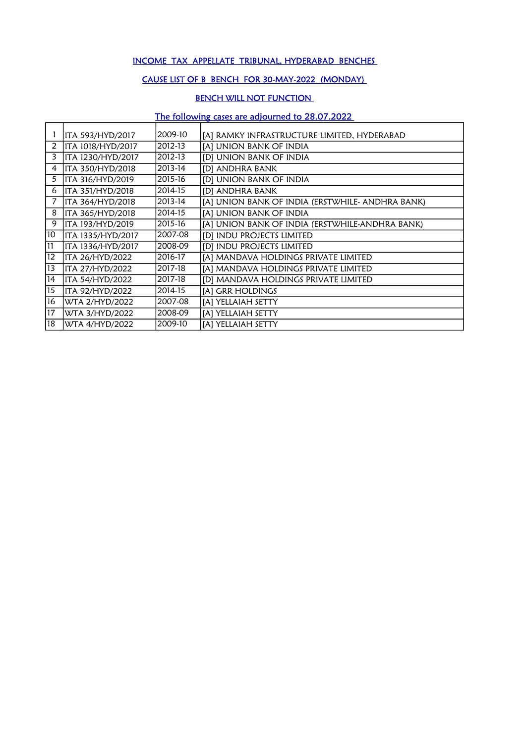### INCOME TAX APPELLATE TRIBUNAL, HYDERABAD BENCHES

## CAUSE LIST OF B BENCH FOR 30-MAY-2022 (MONDAY)

## BENCH WILL NOT FUNCTION

# The following cases are adjourned to 28.07.2022

|                 | ITA 593/HYD/2017  | 2009-10 | [A] RAMKY INFRASTRUCTURE LIMITED, HYDERABAD      |
|-----------------|-------------------|---------|--------------------------------------------------|
| 2               | ITA 1018/HYD/2017 | 2012-13 | [A] UNION BANK OF INDIA                          |
| 3               | ITA 1230/HYD/2017 | 2012-13 | [D] UNION BANK OF INDIA                          |
| 4               | ITA 350/HYD/2018  | 2013-14 | [D] ANDHRA BANK                                  |
| 5               | ITA 316/HYD/2019  | 2015-16 | [D] UNION BANK OF INDIA                          |
| 6               | ITA 351/HYD/2018  | 2014-15 | [D] ANDHRA BANK                                  |
|                 | ITA 364/HYD/2018  | 2013-14 | [A] UNION BANK OF INDIA (ERSTWHILE- ANDHRA BANK) |
| 8               | ITA 365/HYD/2018  | 2014-15 | [A] UNION BANK OF INDIA                          |
| 9               | ITA 193/HYD/2019  | 2015-16 | [A] UNION BANK OF INDIA (ERSTWHILE-ANDHRA BANK)  |
| 10              | ITA 1335/HYD/2017 | 2007-08 | [D] INDU PROJECTS LIMITED                        |
| 11              | ITA 1336/HYD/2017 | 2008-09 | [D] INDU PROJECTS LIMITED                        |
| 12              | ITA 26/HYD/2022   | 2016-17 | [A] MANDAVA HOLDINGS PRIVATE LIMITED             |
| 13              | ITA 27/HYD/2022   | 2017-18 | [A] MANDAVA HOLDINGS PRIVATE LIMITED             |
| 14              | ITA 54/HYD/2022   | 2017-18 | [D] MANDAVA HOLDINGS PRIVATE LIMITED             |
| $\overline{15}$ | ITA 92/HYD/2022   | 2014-15 | [A] GRR HOLDINGS                                 |
| 16              | WTA 2/HYD/2022    | 2007-08 | [A] YELLAIAH SETTY                               |
| 17              | WTA 3/HYD/2022    | 2008-09 | [A] YELLAIAH SETTY                               |
| 18              | WTA 4/HYD/2022    | 2009-10 | [A] YELLAIAH SETTY                               |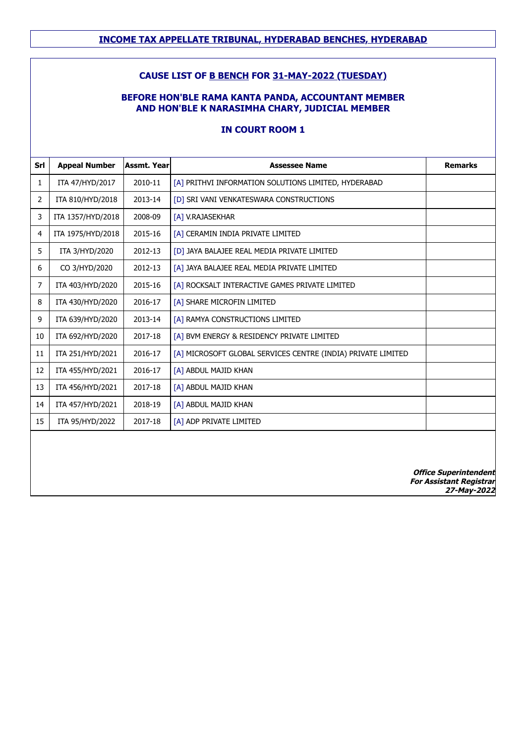### **CAUSE LIST OF B BENCH FOR 31-MAY-2022 (TUESDAY)**

## **BEFORE HON'BLE RAMA KANTA PANDA, ACCOUNTANT MEMBER AND HON'BLE K NARASIMHA CHARY, JUDICIAL MEMBER**

## **IN COURT ROOM 1**

| Srl            | <b>Appeal Number</b> | Assmt. Yearl | <b>Assessee Name</b>                                         | <b>Remarks</b>                                                 |
|----------------|----------------------|--------------|--------------------------------------------------------------|----------------------------------------------------------------|
| 1              | ITA 47/HYD/2017      | 2010-11      | [A] PRITHVI INFORMATION SOLUTIONS LIMITED, HYDERABAD         |                                                                |
| $\overline{2}$ | ITA 810/HYD/2018     | 2013-14      | [D] SRI VANI VENKATESWARA CONSTRUCTIONS                      |                                                                |
| 3              | ITA 1357/HYD/2018    | 2008-09      | [A] V.RAJASEKHAR                                             |                                                                |
| 4              | ITA 1975/HYD/2018    | 2015-16      | [A] CERAMIN INDIA PRIVATE LIMITED                            |                                                                |
| 5              | ITA 3/HYD/2020       | 2012-13      | [D] JAYA BALAJEE REAL MEDIA PRIVATE LIMITED                  |                                                                |
| 6              | CO 3/HYD/2020        | 2012-13      | [A] JAYA BALAJEE REAL MEDIA PRIVATE LIMITED                  |                                                                |
| $\overline{7}$ | ITA 403/HYD/2020     | 2015-16      | [A] ROCKSALT INTERACTIVE GAMES PRIVATE LIMITED               |                                                                |
| 8              | ITA 430/HYD/2020     | 2016-17      | [A] SHARE MICROFIN LIMITED                                   |                                                                |
| 9              | ITA 639/HYD/2020     | 2013-14      | [A] RAMYA CONSTRUCTIONS LIMITED                              |                                                                |
| 10             | ITA 692/HYD/2020     | 2017-18      | [A] BVM ENERGY & RESIDENCY PRIVATE LIMITED                   |                                                                |
| 11             | ITA 251/HYD/2021     | 2016-17      | [A] MICROSOFT GLOBAL SERVICES CENTRE (INDIA) PRIVATE LIMITED |                                                                |
| 12             | ITA 455/HYD/2021     | 2016-17      | [A] ABDUL MAJID KHAN                                         |                                                                |
| 13             | ITA 456/HYD/2021     | 2017-18      | [A] ABDUL MAJID KHAN                                         |                                                                |
| 14             | ITA 457/HYD/2021     | 2018-19      | [A] ABDUL MAJID KHAN                                         |                                                                |
| 15             | ITA 95/HYD/2022      | 2017-18      | [A] ADP PRIVATE LIMITED                                      |                                                                |
|                |                      |              |                                                              |                                                                |
|                |                      |              |                                                              | <b>Office Superintendent</b><br><b>For Assistant Registrar</b> |

**For Assistant Registrar 27-May-2022**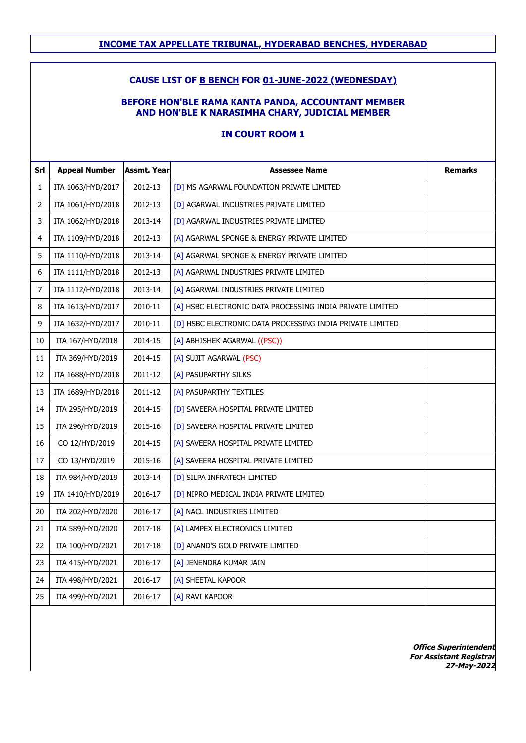#### **CAUSE LIST OF B BENCH FOR 01-JUNE-2022 (WEDNESDAY)**

#### **BEFORE HON'BLE RAMA KANTA PANDA, ACCOUNTANT MEMBER AND HON'BLE K NARASIMHA CHARY, JUDICIAL MEMBER**

### **IN COURT ROOM 1**

| Srl | <b>Appeal Number</b> | <b>Assmt. Year</b> | <b>Assessee Name</b>                                      | <b>Remarks</b> |
|-----|----------------------|--------------------|-----------------------------------------------------------|----------------|
| 1   | ITA 1063/HYD/2017    | 2012-13            | [D] MS AGARWAL FOUNDATION PRIVATE LIMITED                 |                |
| 2   | ITA 1061/HYD/2018    | 2012-13            | [D] AGARWAL INDUSTRIES PRIVATE LIMITED                    |                |
| 3   | ITA 1062/HYD/2018    | 2013-14            | [D] AGARWAL INDUSTRIES PRIVATE LIMITED                    |                |
| 4   | ITA 1109/HYD/2018    | 2012-13            | [A] AGARWAL SPONGE & ENERGY PRIVATE LIMITED               |                |
| 5   | ITA 1110/HYD/2018    | 2013-14            | [A] AGARWAL SPONGE & ENERGY PRIVATE LIMITED               |                |
| 6   | ITA 1111/HYD/2018    | 2012-13            | [A] AGARWAL INDUSTRIES PRIVATE LIMITED                    |                |
| 7   | ITA 1112/HYD/2018    | 2013-14            | [A] AGARWAL INDUSTRIES PRIVATE LIMITED                    |                |
| 8   | ITA 1613/HYD/2017    | 2010-11            | [A] HSBC ELECTRONIC DATA PROCESSING INDIA PRIVATE LIMITED |                |
| 9   | ITA 1632/HYD/2017    | 2010-11            | [D] HSBC ELECTRONIC DATA PROCESSING INDIA PRIVATE LIMITED |                |
| 10  | ITA 167/HYD/2018     | 2014-15            | [A] ABHISHEK AGARWAL ((PSC))                              |                |
| 11  | ITA 369/HYD/2019     | 2014-15            | [A] SUJIT AGARWAL (PSC)                                   |                |
| 12  | ITA 1688/HYD/2018    | 2011-12            | [A] PASUPARTHY SILKS                                      |                |
| 13  | ITA 1689/HYD/2018    | 2011-12            | [A] PASUPARTHY TEXTILES                                   |                |
| 14  | ITA 295/HYD/2019     | 2014-15            | [D] SAVEERA HOSPITAL PRIVATE LIMITED                      |                |
| 15  | ITA 296/HYD/2019     | 2015-16            | [D] SAVEERA HOSPITAL PRIVATE LIMITED                      |                |
| 16  | CO 12/HYD/2019       | 2014-15            | [A] SAVEERA HOSPITAL PRIVATE LIMITED                      |                |
| 17  | CO 13/HYD/2019       | 2015-16            | [A] SAVEERA HOSPITAL PRIVATE LIMITED                      |                |
| 18  | ITA 984/HYD/2019     | 2013-14            | [D] SILPA INFRATECH LIMITED                               |                |
| 19  | ITA 1410/HYD/2019    | 2016-17            | [D] NIPRO MEDICAL INDIA PRIVATE LIMITED                   |                |
| 20  | ITA 202/HYD/2020     | 2016-17            | [A] NACL INDUSTRIES LIMITED                               |                |
| 21  | ITA 589/HYD/2020     | 2017-18            | [A] LAMPEX ELECTRONICS LIMITED                            |                |
| 22  | ITA 100/HYD/2021     | 2017-18            | [D] ANAND'S GOLD PRIVATE LIMITED                          |                |
| 23  | ITA 415/HYD/2021     | 2016-17            | [A] JENENDRA KUMAR JAIN                                   |                |
| 24  | ITA 498/HYD/2021     | 2016-17            | [A] SHEETAL KAPOOR                                        |                |
| 25  | ITA 499/HYD/2021     | 2016-17            | [A] RAVI KAPOOR                                           |                |
|     |                      |                    |                                                           |                |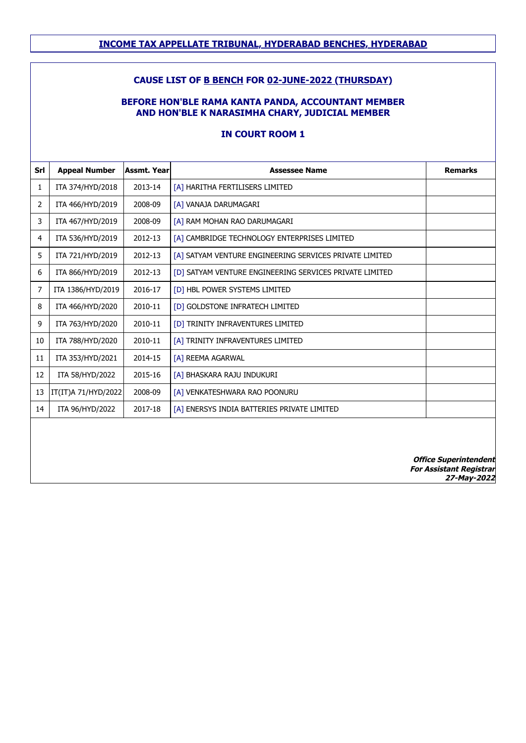## **CAUSE LIST OF B BENCH FOR 02-JUNE-2022 (THURSDAY)**

#### **BEFORE HON'BLE RAMA KANTA PANDA, ACCOUNTANT MEMBER AND HON'BLE K NARASIMHA CHARY, JUDICIAL MEMBER**

#### **IN COURT ROOM 1**

| Srl            | <b>Appeal Number</b> | <b>Assmt, Year</b> | <b>Assessee Name</b>                                    | <b>Remarks</b>                                                                |
|----------------|----------------------|--------------------|---------------------------------------------------------|-------------------------------------------------------------------------------|
| 1              | ITA 374/HYD/2018     | 2013-14            | [A] HARITHA FERTILISERS LIMITED                         |                                                                               |
| $\overline{2}$ | ITA 466/HYD/2019     | 2008-09            | [A] VANAJA DARUMAGARI                                   |                                                                               |
| 3              | ITA 467/HYD/2019     | 2008-09            | [A] RAM MOHAN RAO DARUMAGARI                            |                                                                               |
| 4              | ITA 536/HYD/2019     | 2012-13            | [A] CAMBRIDGE TECHNOLOGY ENTERPRISES LIMITED            |                                                                               |
| 5              | ITA 721/HYD/2019     | 2012-13            | [A] SATYAM VENTURE ENGINEERING SERVICES PRIVATE LIMITED |                                                                               |
| 6              | ITA 866/HYD/2019     | 2012-13            | [D] SATYAM VENTURE ENGINEERING SERVICES PRIVATE LIMITED |                                                                               |
| 7              | ITA 1386/HYD/2019    | 2016-17            | [D] HBL POWER SYSTEMS LIMITED                           |                                                                               |
| 8              | ITA 466/HYD/2020     | 2010-11            | [D] GOLDSTONE INFRATECH LIMITED                         |                                                                               |
| 9              | ITA 763/HYD/2020     | 2010-11            | [D] TRINITY INFRAVENTURES LIMITED                       |                                                                               |
| 10             | ITA 788/HYD/2020     | 2010-11            | [A] TRINITY INFRAVENTURES LIMITED                       |                                                                               |
| 11             | ITA 353/HYD/2021     | 2014-15            | [A] REEMA AGARWAL                                       |                                                                               |
| 12             | ITA 58/HYD/2022      | 2015-16            | [A] BHASKARA RAJU INDUKURI                              |                                                                               |
| 13             | IT(IT)A 71/HYD/2022  | 2008-09            | [A] VENKATESHWARA RAO POONURU                           |                                                                               |
| 14             | ITA 96/HYD/2022      | 2017-18            | [A] ENERSYS INDIA BATTERIES PRIVATE LIMITED             |                                                                               |
|                |                      |                    |                                                         |                                                                               |
|                |                      |                    |                                                         | <b>Office Superintendent</b><br><b>For Assistant Registrar</b><br>27-May-2022 |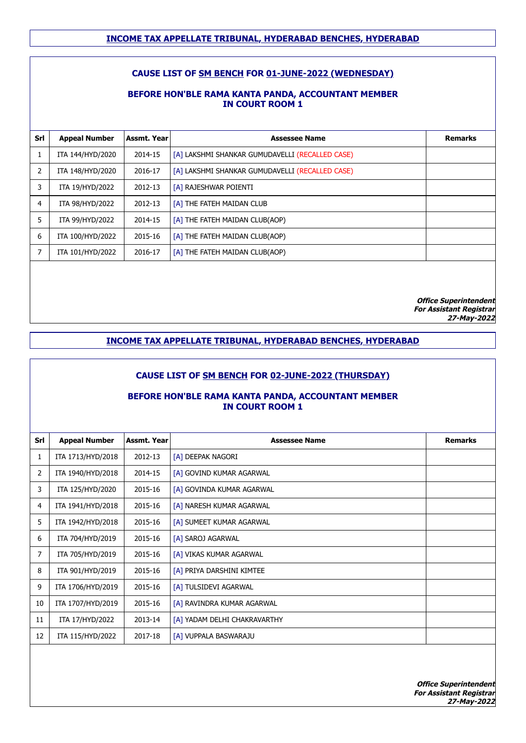## **CAUSE LIST OF SM BENCH FOR 01-JUNE-2022 (WEDNESDAY)**

#### **BEFORE HON'BLE RAMA KANTA PANDA, ACCOUNTANT MEMBER IN COURT ROOM 1**

| Srl | <b>Appeal Number</b> | Assmt. Year | <b>Assessee Name</b>                            | <b>Remarks</b> |
|-----|----------------------|-------------|-------------------------------------------------|----------------|
|     | ITA 144/HYD/2020     | 2014-15     | [A] LAKSHMI SHANKAR GUMUDAVELLI (RECALLED CASE) |                |
| 2   | ITA 148/HYD/2020     | 2016-17     | [A] LAKSHMI SHANKAR GUMUDAVELLI (RECALLED CASE) |                |
| 3   | ITA 19/HYD/2022      | 2012-13     | [A] RAJESHWAR POIENTI                           |                |
| 4   | ITA 98/HYD/2022      | 2012-13     | [A] THE FATEH MAIDAN CLUB                       |                |
| 5   | ITA 99/HYD/2022      | 2014-15     | [A] THE FATEH MAIDAN CLUB(AOP)                  |                |
| 6   | ITA 100/HYD/2022     | 2015-16     | [A] THE FATEH MAIDAN CLUB(AOP)                  |                |
| 7   | ITA 101/HYD/2022     | 2016-17     | [A] THE FATEH MAIDAN CLUB(AOP)                  |                |
|     |                      |             |                                                 |                |

**Office Superintendent For Assistant Registrar 27-May-2022**

## **INCOME TAX APPELLATE TRIBUNAL, HYDERABAD BENCHES, HYDERABAD**

#### **CAUSE LIST OF SM BENCH FOR 02-JUNE-2022 (THURSDAY)**

#### **BEFORE HON'BLE RAMA KANTA PANDA, ACCOUNTANT MEMBER IN COURT ROOM 1**

| Srl | <b>Appeal Number</b> | <b>Assmt. Year</b> | <b>Assessee Name</b>         | <b>Remarks</b> |
|-----|----------------------|--------------------|------------------------------|----------------|
| 1   | ITA 1713/HYD/2018    | 2012-13            | [A] DEEPAK NAGORI            |                |
| 2   | ITA 1940/HYD/2018    | 2014-15            | [A] GOVIND KUMAR AGARWAL     |                |
| 3   | ITA 125/HYD/2020     | 2015-16            | [A] GOVINDA KUMAR AGARWAL    |                |
| 4   | ITA 1941/HYD/2018    | 2015-16            | [A] NARESH KUMAR AGARWAL     |                |
| 5   | ITA 1942/HYD/2018    | 2015-16            | [A] SUMEET KUMAR AGARWAL     |                |
| 6   | ITA 704/HYD/2019     | 2015-16            | [A] SAROJ AGARWAL            |                |
| 7   | ITA 705/HYD/2019     | 2015-16            | [A] VIKAS KUMAR AGARWAL      |                |
| 8   | ITA 901/HYD/2019     | 2015-16            | [A] PRIYA DARSHINI KIMTEE    |                |
| 9   | ITA 1706/HYD/2019    | 2015-16            | [A] TULSIDEVI AGARWAL        |                |
| 10  | ITA 1707/HYD/2019    | 2015-16            | [A] RAVINDRA KUMAR AGARWAL   |                |
| 11  | ITA 17/HYD/2022      | 2013-14            | [A] YADAM DELHI CHAKRAVARTHY |                |
| 12  | ITA 115/HYD/2022     | 2017-18            | [A] VUPPALA BASWARAJU        |                |
|     |                      |                    |                              |                |